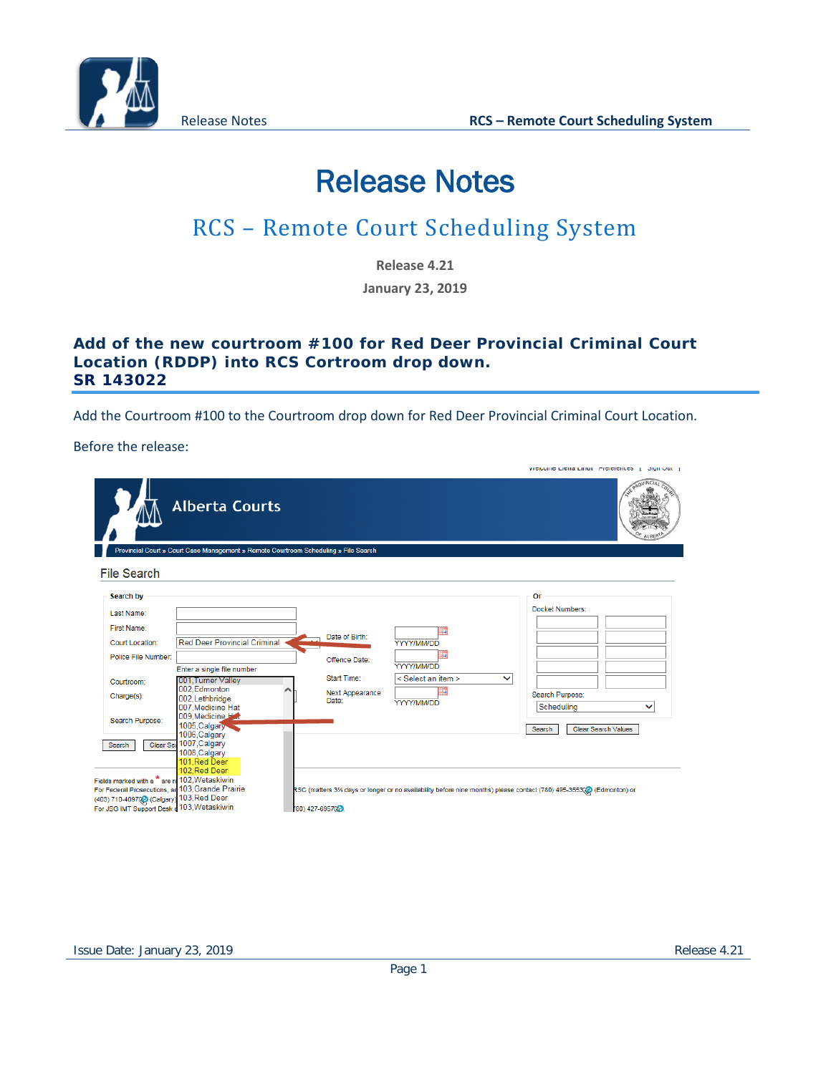

# Release Notes

# RCS – Remote Court Scheduling System

**Release 4.21**

**January 23, 2019**

#### **Add of the new courtroom #100 for Red Deer Provincial Criminal Court Location (RDDP) into RCS Cortroom drop down. SR 143022**

Add the Courtroom #100 to the Courtroom drop down for Red Deer Provincial Criminal Court Location.

Before the release:

|                                                                                                                                                                                             |                                                                                                                                                                                                                                                                   |                                                                            |                                                                                                                        | <b>VVCICULIIC LIGHA LINUL FICICICIICOS</b>   JIGHI OUL                                                         |
|---------------------------------------------------------------------------------------------------------------------------------------------------------------------------------------------|-------------------------------------------------------------------------------------------------------------------------------------------------------------------------------------------------------------------------------------------------------------------|----------------------------------------------------------------------------|------------------------------------------------------------------------------------------------------------------------|----------------------------------------------------------------------------------------------------------------|
|                                                                                                                                                                                             | <b>Alberta Courts</b>                                                                                                                                                                                                                                             |                                                                            |                                                                                                                        |                                                                                                                |
|                                                                                                                                                                                             | Provincial Court » Court Case Management » Remote Courtroom Scheduling » File Search                                                                                                                                                                              |                                                                            |                                                                                                                        |                                                                                                                |
| <b>File Search</b>                                                                                                                                                                          |                                                                                                                                                                                                                                                                   |                                                                            |                                                                                                                        |                                                                                                                |
| Search by<br>Last Name:<br>First Name:<br>Court Location:<br>Police File Number:<br>Courtroom:<br>Charge(s):<br>Search Purpose:<br>Search                                                   | <b>Red Deer Provincial Criminal</b><br>Enter a single file number<br>001, Turner Valley<br>002.Edmonton<br>002.Lethbridge<br>007. Medicine Hat<br>009.Medicine Hat<br>1005, Calgary<br>1006, Calgary<br>Clear Sea 1007, Calgary<br>1008, Calgary<br>101, Red Deer | Date of Birth:<br>Offence Date:<br>Start Time:<br>Next Appearance<br>Date: | m<br>YYYY/MM/DD<br>Ħ<br>YYYY/MM/DD<br>< Select an item ><br>$\checkmark$<br>ш<br>YYYY/MM/DD                            | Or<br>Docket Numbers:<br>Search Purpose:<br>Scheduling<br>$\checkmark$<br>Search<br><b>Clear Search Values</b> |
| Fields marked with a * are re 102. Wetaskiwin<br>For Federal Prosecutions, an 103, Grande Prairie<br>(403) 710-4097(§ (Calgary) 103, Red Deer<br>For JSG IMT Support Desk d 103, Wetaskiwin | 102.Red Deer                                                                                                                                                                                                                                                      | 80) 427-6957029                                                            | RSC (matters 31/2 days or longer or no availability before nine months) please contact (780) 495-3553(2) (Edmonton) or |                                                                                                                |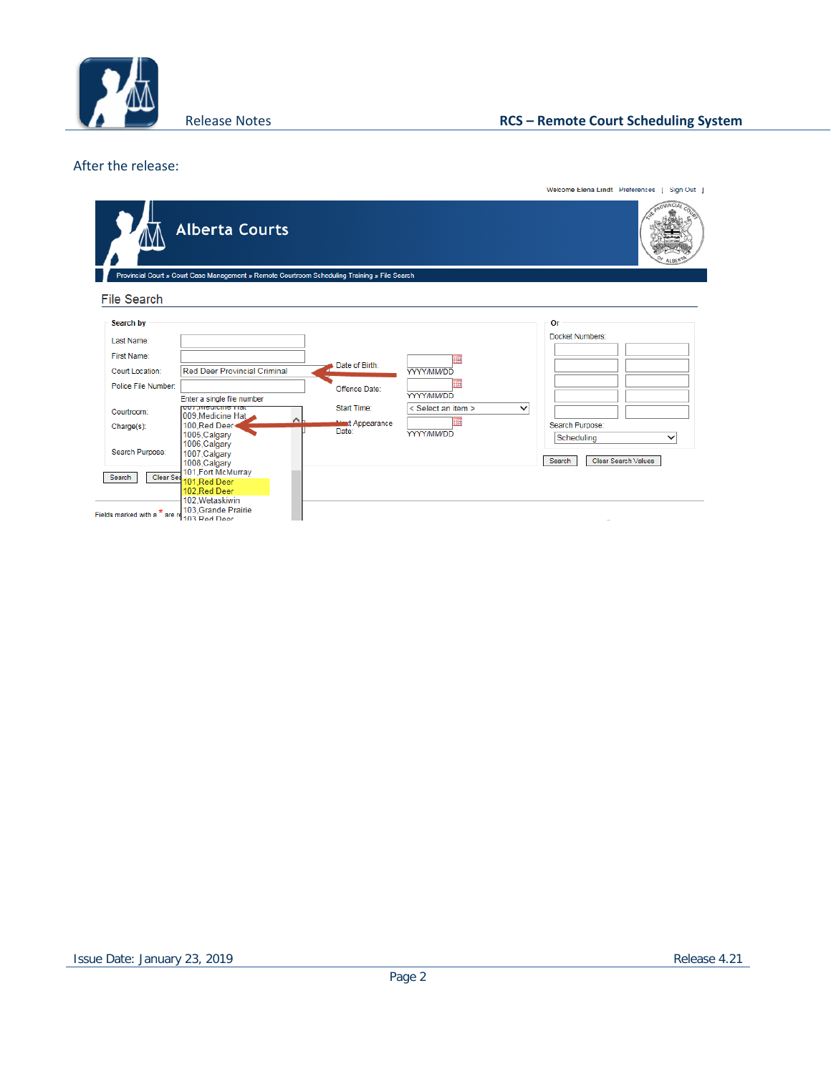

#### After the release:

|                                          |                                                                                               |                                  |                                                  | Welcome Elena Lindt Preferences   Sign Out                         |
|------------------------------------------|-----------------------------------------------------------------------------------------------|----------------------------------|--------------------------------------------------|--------------------------------------------------------------------|
|                                          | <b>Alberta Courts</b>                                                                         |                                  |                                                  |                                                                    |
|                                          | Provincial Court » Court Case Management » Remote Courtroom Scheduling Training » File Search |                                  |                                                  |                                                                    |
| <b>File Search</b>                       |                                                                                               |                                  |                                                  |                                                                    |
| Search by                                |                                                                                               |                                  |                                                  | Or                                                                 |
| Last Name:                               |                                                                                               |                                  |                                                  | Docket Numbers:                                                    |
| First Name:                              |                                                                                               |                                  |                                                  |                                                                    |
| Court Location:                          | <b>Red Deer Provincial Criminal</b>                                                           | Date of Birth:                   | YYYY/MM/DD                                       |                                                                    |
| Police File Number:                      |                                                                                               | Offence Date:                    |                                                  |                                                                    |
|                                          | Enter a single file number<br><b>TIGHT SHIPSING</b> TIGHT                                     | Start Time:                      | YYYY/MM/DD<br>< Select an item ><br>$\checkmark$ |                                                                    |
| Courtroom:                               | 009, Medicine Hat<br>$\sim$                                                                   |                                  |                                                  |                                                                    |
| Charge(s):                               | 100, Red Deer<br>1005.Calgary                                                                 | <b>Minut Appearance</b><br>Date: | Ħ<br><b>YYYY/MM/DD</b>                           | Search Purpose:                                                    |
| Search Purpose:                          | 1006, Calgary<br>1007, Calgary<br>1008, Calgary                                               |                                  |                                                  | Scheduling<br>$\checkmark$<br><b>Clear Search Values</b><br>Search |
| Clear Sea<br>Search                      | 101, Fort McMurray<br>101, Red Deer                                                           |                                  |                                                  |                                                                    |
|                                          | 102.Red Deer<br>102, Wetaskiwin                                                               |                                  |                                                  |                                                                    |
| Fields marked with a <sup>*</sup> are re | 103.Grande Prairie<br>103 Red Deer                                                            |                                  |                                                  |                                                                    |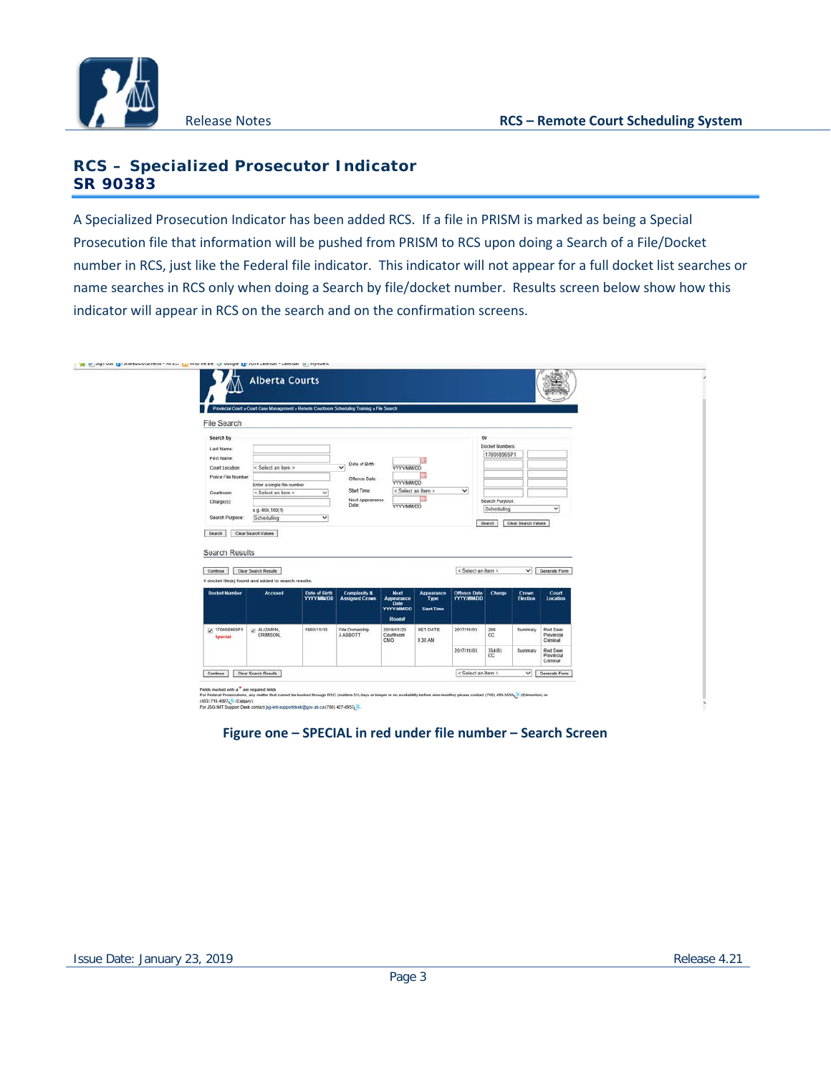

**Je E** skunne

### **RCS – Specialized Prosecutor Indicator SR 90383**

A Specialized Prosecution Indicator has been added RCS. If a file in PRISM is marked as being a Special Prosecution file that information will be pushed from PRISM to RCS upon doing a Search of a File/Docket number in RCS, just like the Federal file indicator. This indicator will not appear for a full docket list searches or name searches in RCS only when doing a Search by file/docket number. Results screen below show how this indicator will appear in RCS on the search and on the confirmation screens.

|                            |                                                     |                                           | Provincial Court » Court Case Management » Remote Courtroom Scheduling Training » File Search |                                                         |                                          |                                         |                 |                                 |                                    |
|----------------------------|-----------------------------------------------------|-------------------------------------------|-----------------------------------------------------------------------------------------------|---------------------------------------------------------|------------------------------------------|-----------------------------------------|-----------------|---------------------------------|------------------------------------|
| File Search                |                                                     |                                           |                                                                                               |                                                         |                                          |                                         |                 |                                 |                                    |
| Search by                  |                                                     |                                           |                                                                                               |                                                         |                                          |                                         | Or              |                                 |                                    |
| Last Name:                 |                                                     |                                           |                                                                                               |                                                         |                                          |                                         | Docket Numbers  |                                 |                                    |
| First Name:                |                                                     |                                           |                                                                                               |                                                         |                                          |                                         | 170008965P1     |                                 |                                    |
| Court Location:            | < Select an item >                                  |                                           | Date of Birth:<br>$\checkmark$                                                                | <b>YYYY/MM/DD</b>                                       |                                          |                                         |                 |                                 |                                    |
| Police File Number.        |                                                     |                                           | Offence Date:                                                                                 |                                                         |                                          |                                         |                 |                                 |                                    |
|                            | Enter a single file number                          |                                           | Start Time:                                                                                   | <b>YYYY/MM/DD</b>                                       | < Select an item >                       | $\checkmark$                            |                 |                                 |                                    |
| Courtroom:<br>Charge(s):   | < Select an item >                                  | $\checkmark$                              | Next Appearance                                                                               |                                                         |                                          |                                         | Search Purpose. |                                 |                                    |
|                            | e.g. $404,100(1)$                                   |                                           | Date:                                                                                         | YYYY/MM/DD                                              |                                          |                                         | Scheduling      |                                 | $\checkmark$                       |
| Search Purpose:            | Scheduling                                          | $\checkmark$                              |                                                                                               |                                                         |                                          |                                         |                 |                                 |                                    |
| Search                     | Clear Search Values                                 |                                           |                                                                                               |                                                         |                                          |                                         | Search          | Clear Search Values             |                                    |
| Search Results<br>Continue | <b>Clear Search Results</b>                         |                                           |                                                                                               |                                                         |                                          | < Select an item >                      |                 | $\checkmark$                    | Generate Form                      |
|                            | 1 docket file(s) found and added to search results. |                                           |                                                                                               |                                                         |                                          |                                         |                 |                                 |                                    |
| <b>Docket Number</b>       | <b>Accused</b>                                      | <b>Date of Birth</b><br><b>YYYY/MM/DD</b> | Complexity &<br><b>Assigned Crown</b>                                                         | Next.<br>Appearance<br><b>Date</b><br><b>YYYY/MM/DD</b> | Appearance<br>Type:<br><b>Start Time</b> | <b>Offence Date</b><br><b>YYYY/MMDD</b> | Charge          | <b>Crown</b><br><b>Election</b> | <b>Court</b><br>Location           |
|                            |                                                     |                                           |                                                                                               | Roomf                                                   |                                          |                                         |                 |                                 |                                    |
| V 170008965P1<br>Special   | ALIZARIN<br><b>CRIMSON</b>                          | 1980/11/13                                | File Ownership<br><b>J.ABBOTT</b>                                                             | 2019/01/23<br>Courtroom<br>CMO                          | <b>SET DATE</b><br>MA 0C 9               | 2017/11/03                              | 266<br>cc       | Summary                         | Red Deer<br>Provincial<br>Criminal |
|                            |                                                     |                                           |                                                                                               |                                                         |                                          | 2017/11/03                              | 334(B)<br>CC    | <b>Summary</b>                  | Red Deer<br>Provincial<br>Criminal |

**Figure one – SPECIAL in red under file number – Search Screen**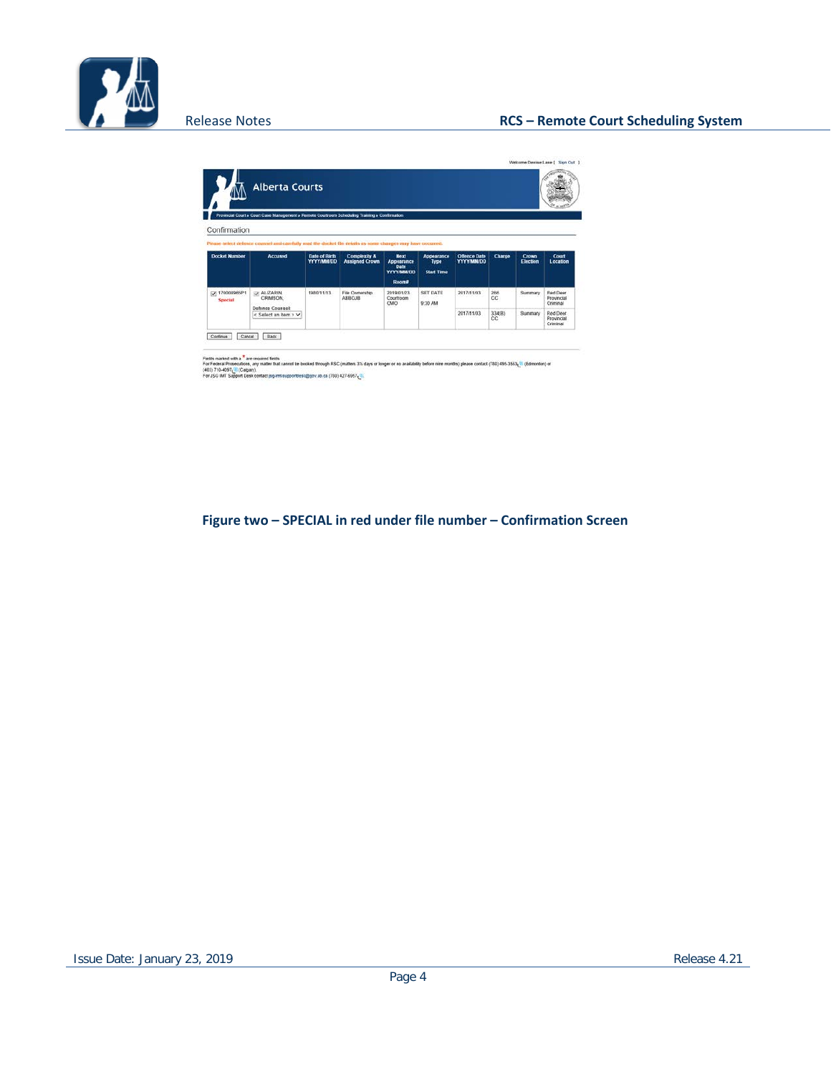

|                             | <b>Alberta Courts</b>                                                                                       |                                    |                                       |                                                                |                                                |                                          |              |                          |                                    |                                    |
|-----------------------------|-------------------------------------------------------------------------------------------------------------|------------------------------------|---------------------------------------|----------------------------------------------------------------|------------------------------------------------|------------------------------------------|--------------|--------------------------|------------------------------------|------------------------------------|
|                             | Provincial Court » Court Case Management » Remote Courtroom Scheduling Training » Confirmation              |                                    |                                       |                                                                |                                                |                                          |              |                          |                                    |                                    |
| Confirmation                |                                                                                                             |                                    |                                       |                                                                |                                                |                                          |              |                          |                                    |                                    |
|                             | Please select defence counsel and carefully road the docket file details as some changes may have occurred. |                                    |                                       |                                                                |                                                |                                          |              |                          |                                    |                                    |
| <b>Docket Number</b>        | <b>Accused</b>                                                                                              | Date of Birth<br><b>YYYY/MM/DD</b> | Complexity &<br><b>Assigned Crown</b> | <b>Next</b><br>Appearance<br>Date<br><b>YYYY/MMDD</b><br>Rooma | Appearance<br><b>Type</b><br><b>Start Time</b> | <b>Offence Date</b><br><b>YYYY/MM/DD</b> | Charge       | <b>Crown</b><br>Election | Court<br>Location                  |                                    |
| 170008965P1<br>V<br>Special | U. ALIZARIN,<br><b>CRIMSON</b>                                                                              | 1980/11/13                         | File Ownership<br><b>ABBOJB</b>       | 2019/01/23<br>Courtroom                                        | CMO                                            | SET DATE<br>9:30 AM                      | 2017/11/03   | 266<br>CC                | Summary                            | Red Deer<br>Provincial<br>Criminal |
|                             | <b>Defence Counsel:</b><br>< Salect an item > $\vee$                                                        |                                    |                                       |                                                                |                                                | 2017/11/03                               | 334(B)<br>cc | Summary                  | Red Deer<br>Provincial<br>Criminal |                                    |

Fista manza uth a <sup>8</sup> are required fields<br>For Federa Proteculors, ary matter that cannot be booked through RSC (matters 3% days of broger or availably before inne months) please contact (780) 495-3553<sub>4</sub>01 (Edmonton) or<br>(4

**Figure two – SPECIAL in red under file number – Confirmation Screen**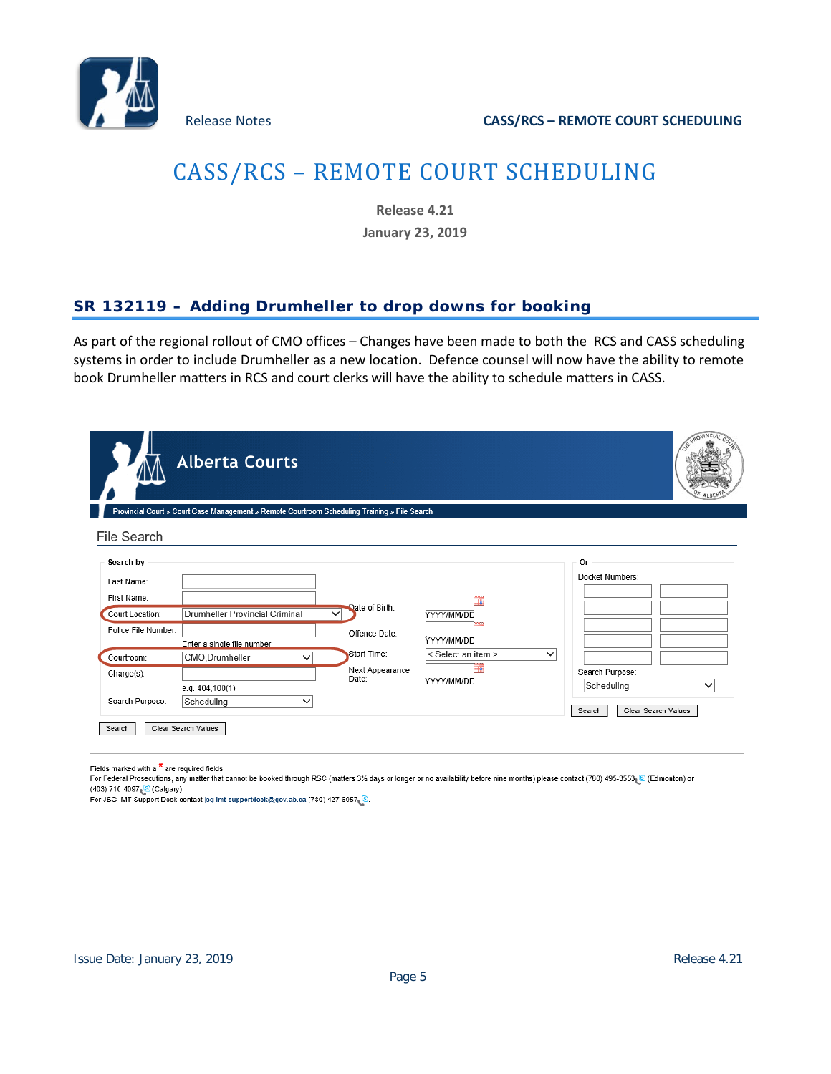

## CASS/RCS – REMOTE COURT SCHEDULING

**Release 4.21**

**January 23, 2019**

## **SR 132119 – Adding Drumheller to drop downs for booking**

As part of the regional rollout of CMO offices – Changes have been made to both the RCS and CASS scheduling systems in order to include Drumheller as a new location. Defence counsel will now have the ability to remote book Drumheller matters in RCS and court clerks will have the ability to schedule matters in CASS.

|                                                                                  | <b>Alberta Courts</b><br>Provincial Court » Court Case Management » Remote Courtroom Scheduling Training » File Search |                                                                |                                                                                  | PROVINCIAL                                    |
|----------------------------------------------------------------------------------|------------------------------------------------------------------------------------------------------------------------|----------------------------------------------------------------|----------------------------------------------------------------------------------|-----------------------------------------------|
| File Search                                                                      |                                                                                                                        |                                                                |                                                                                  |                                               |
| Search by<br>Last Name:<br>First Name:<br>Court Location:<br>Police File Number: | Drumheller Provincial Criminal<br>Enter a single file number                                                           | Date of Birth:<br>$\checkmark$<br>Offence Date:<br>Start Time: | YYYY/MM/DD<br><b>Process</b><br>YYYY/MM/DD<br>< Select an item ><br>$\checkmark$ | 0r<br>Docket Numbers:                         |
| Courtroom:<br>Charge(s):<br>Search Purpose:                                      | CMO, Drumheller<br>◡<br>e.g. 404,100(1)<br>Scheduling<br>✓                                                             | Next Appearance<br>Date:                                       | YYYY/MM/DD                                                                       | Search Purpose:<br>Scheduling<br>$\checkmark$ |
| Search                                                                           | Clear Search Values                                                                                                    |                                                                |                                                                                  | Clear Search Values<br>Search                 |

Fields marked with a  $*$  are required fields

For Federal Prosecutions, any matter that cannot be booked through RSC (matters 3% days or longer or no availability before nine months) please contact (780) 495-3553. [8] (Edmonton) or (403) 710-4097 (8 (Calgary).

For JSG IMT Support Desk contact jsg-imt-supportdesk@gov.ab.ca (780) 427-6957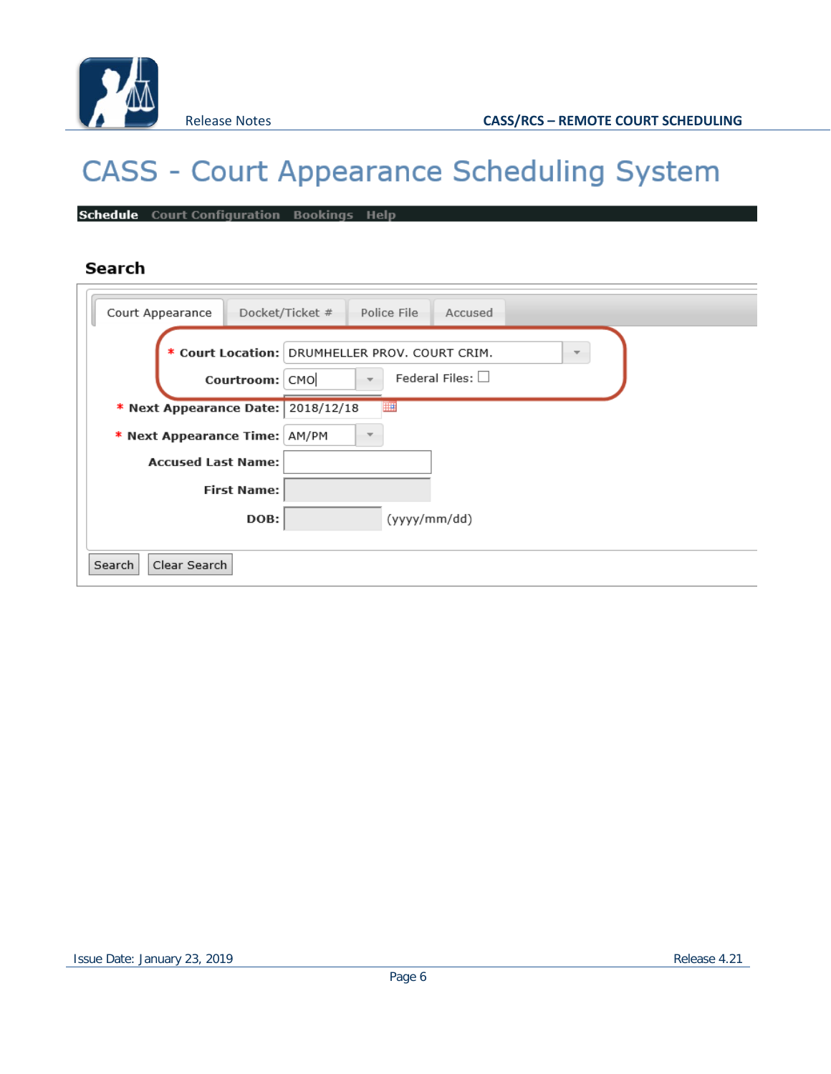

# **CASS - Court Appearance Scheduling System**

Schedule Court Configuration Bookings Help

### Search

| Court Appearance                                                    | Docket/Ticket #<br>Police File<br>Accused                                                                 |
|---------------------------------------------------------------------|-----------------------------------------------------------------------------------------------------------|
| Courtroom: CMO                                                      | * Court Location: DRUMHELLER PROV. COURT CRIM.<br>÷.<br>Federal Files: $\Box$<br>$\overline{\phantom{a}}$ |
| * Next Appearance Date: 2018/12/18<br>* Next Appearance Time: AM/PM | m<br>$\overline{\phantom{a}}$                                                                             |
| <b>Accused Last Name:</b><br><b>First Name:</b>                     |                                                                                                           |
| DOB:                                                                | (yyyy/mm/dd)                                                                                              |
| Clear Search<br>Search                                              |                                                                                                           |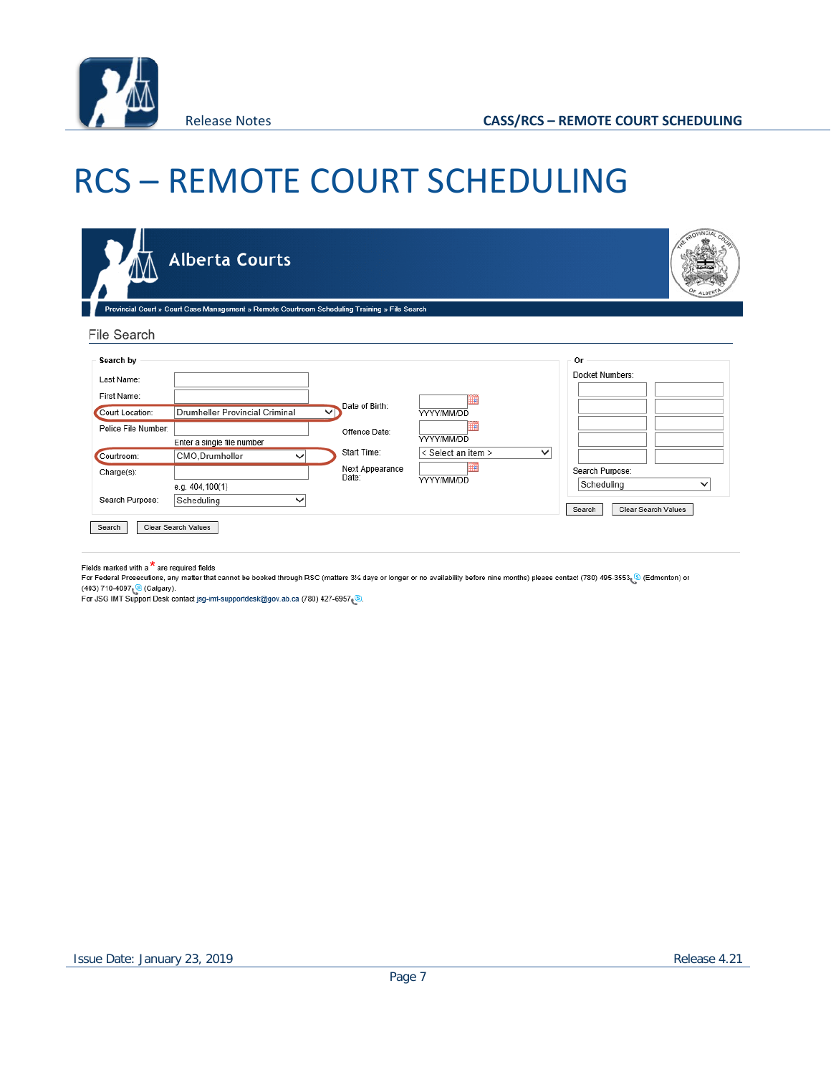

# RCS – REMOTE COURT SCHEDULING

|                                             | <b>Alberta Courts</b>                                                                         |                                         |                                  |              | <b>PROVINCIAL</b>                                                              |
|---------------------------------------------|-----------------------------------------------------------------------------------------------|-----------------------------------------|----------------------------------|--------------|--------------------------------------------------------------------------------|
| File Search                                 | Provincial Court » Court Case Management » Remote Courtroom Scheduling Training » File Search |                                         |                                  |              |                                                                                |
| Search by<br>Last Name:<br>First Name:      |                                                                                               |                                         |                                  |              | Or<br>Docket Numbers:                                                          |
| Court Location:<br>Police File Number:      | Drumheller Provincial Criminal<br>Enter a single file number                                  | Date of Birth:<br>◡<br>Offence Date:    | ▦<br>YYYY/MM/DD<br>YYYY/MM/DD    |              |                                                                                |
| Courtroom:<br>Charge(s):<br>Search Purpose: | CMO, Drumheller<br>$\checkmark$<br>e.g. $404,100(1)$<br>Scheduling<br>$\checkmark$            | Start Time:<br>Next Appearance<br>Date: | < Select an item ><br>YYYY/MM/DD | $\checkmark$ | Search Purpose:<br>Scheduling<br>$\checkmark$<br>Clear Search Values<br>Search |
| Search                                      | Clear Search Values                                                                           |                                         |                                  |              |                                                                                |

Fields marked with a  $\star$  are required fields

For Federal Prosecutions, any matter that cannot be booked through RSC (matters 3% days or longer or no availability before nine months) please contact (780) 495-3553. [8] (Edmonton) or (403) 710-4097 (Calgary).<br>For JSG IMT Support Desk contact jsg-imt-supportdesk@gov.ab.ca (780) 427-6957 (®.<br>For JSG IMT Support Desk contact jsg-imt-supportdesk@gov.ab.ca (780) 427-6957 (®.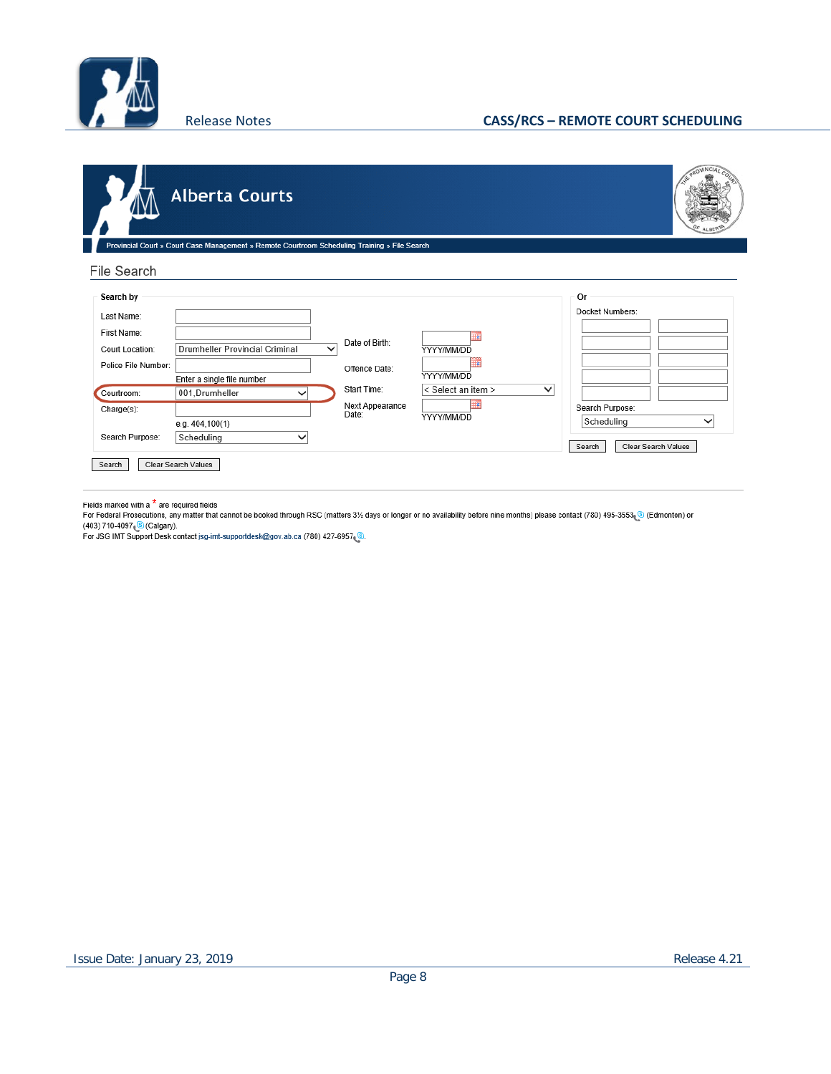

#### Release Notes **CASS/RCS – REMOTE COURT SCHEDULING**

|                                                                                  | <b>Alberta Courts</b>                                                                                   |                                         |                                       |              | GOVINCIA                                                                              |
|----------------------------------------------------------------------------------|---------------------------------------------------------------------------------------------------------|-----------------------------------------|---------------------------------------|--------------|---------------------------------------------------------------------------------------|
| <b>File Search</b>                                                               | Provincial Court » Court Case Management » Remote Courtroom Scheduling Training » File Search           |                                         |                                       |              |                                                                                       |
| Search by<br>Last Name:<br>First Name:<br>Court Location:<br>Police File Number: | Drumheller Provincial Criminal<br>$\checkmark$<br>Enter a single file number                            | Date of Birth:<br>Offence Date:         | ш<br>YYYY/MM/DD<br>ш<br>YYYY/MM/DD    |              | Or<br>Docket Numbers:                                                                 |
| Courtroom:<br>Charge(s):<br>Search Purpose:<br>Search                            | 001, Drumheller<br>$\checkmark$<br>e.g. 404,100(1)<br>Scheduling<br>$\checkmark$<br>Clear Search Values | Start Time:<br>Next Appearance<br>Date: | < Select an item ><br>₩<br>YYYY/MM/DD | $\checkmark$ | Search Purpose:<br>Scheduling<br>$\checkmark$<br><b>Clear Search Values</b><br>Search |

Fields marked with a <sup>\*</sup>\* are required fields<br>For Federal Prosecutions, any matter that cannot be booked through RSC (matters 3½ days or longer or no availability before nine months) please contact (780) 495-3553.③ (Edmont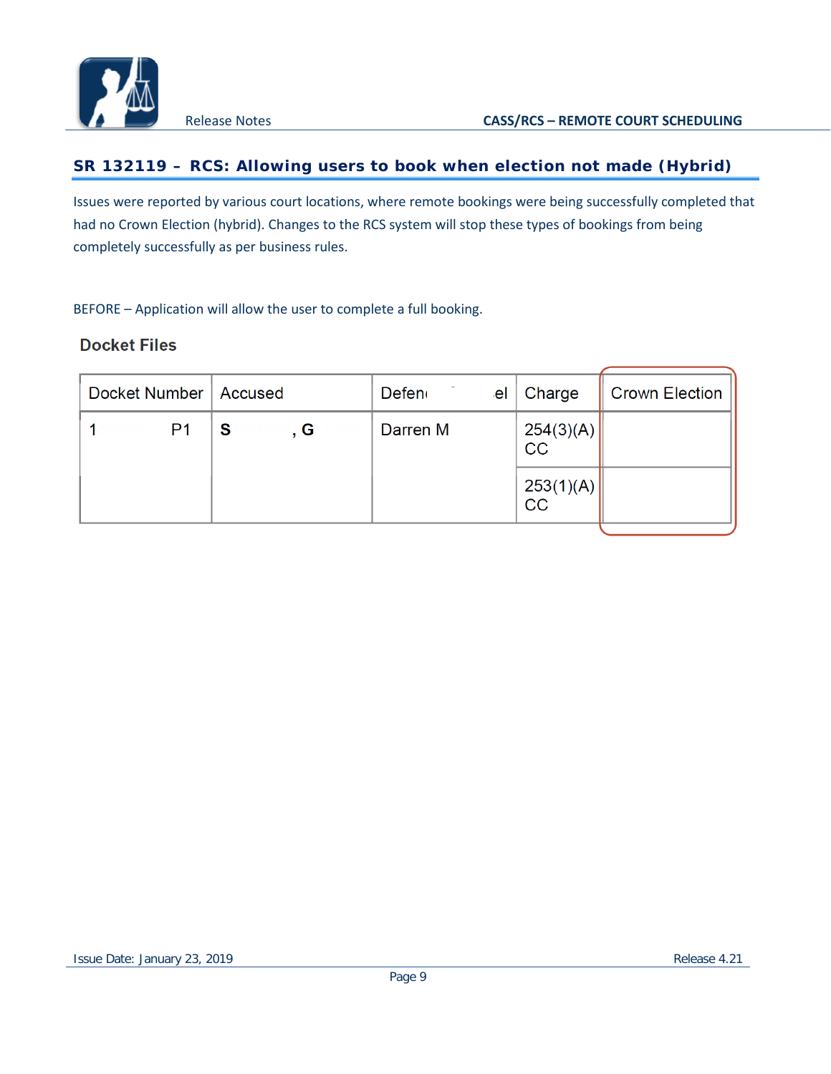

### **SR 132119 – RCS: Allowing users to book when election not made (Hybrid)**

Issues were reported by various court locations, where remote bookings were being successfully completed that had no Crown Election (hybrid). Changes to the RCS system will stop these types of bookings from being completely successfully as per business rules.

BEFORE – Application will allow the user to complete a full booking.

### **Docket Files**

| Docket Number  | <b>Accused</b> | Defen <sub>(</sub><br>el | Charge            | <b>Crown Election</b> |
|----------------|----------------|--------------------------|-------------------|-----------------------|
| P <sub>1</sub> | S<br>. G       | Darren M                 | $254(3)(A)$<br>CC |                       |
|                |                |                          | 253(1)(A)<br>CC   |                       |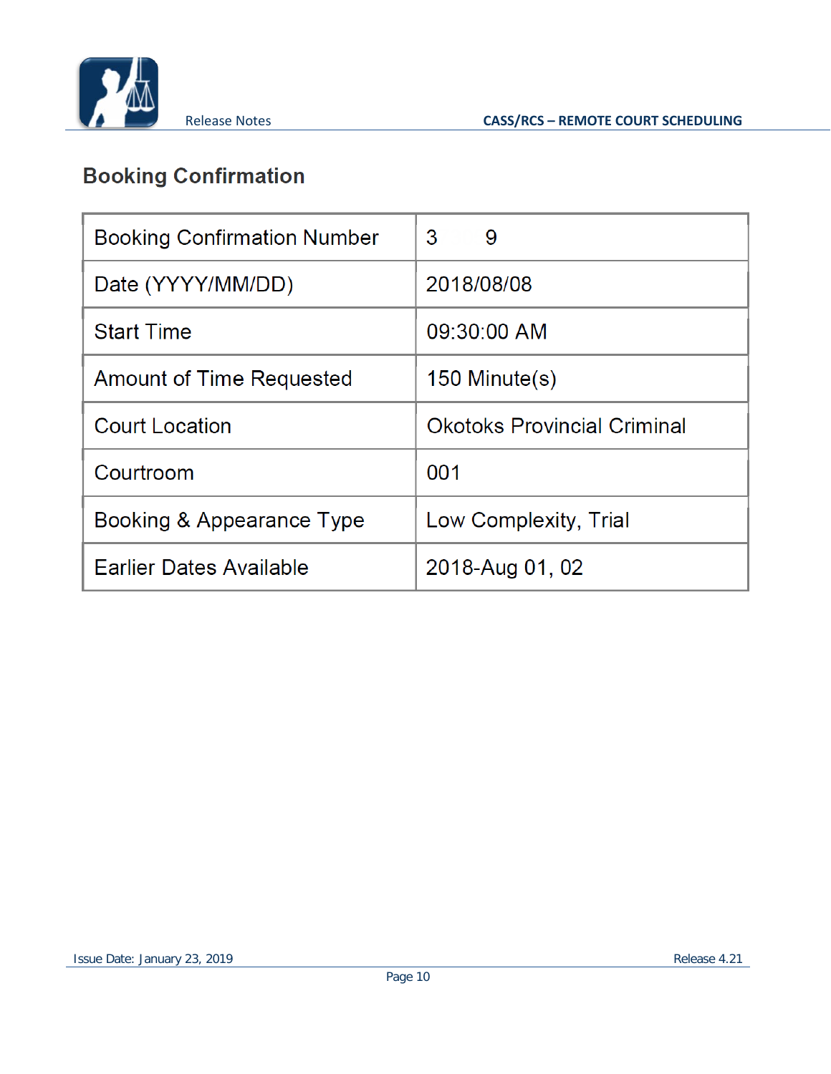

## **Booking Confirmation**

| <b>Booking Confirmation Number</b> | 3<br>9                             |
|------------------------------------|------------------------------------|
| Date (YYYY/MM/DD)                  | 2018/08/08                         |
| <b>Start Time</b>                  | 09:30:00 AM                        |
| Amount of Time Requested           | $150$ Minute $(s)$                 |
| <b>Court Location</b>              | <b>Okotoks Provincial Criminal</b> |
| Courtroom                          | 001                                |
| Booking & Appearance Type          | Low Complexity, Trial              |
| <b>Earlier Dates Available</b>     | 2018-Aug 01, 02                    |